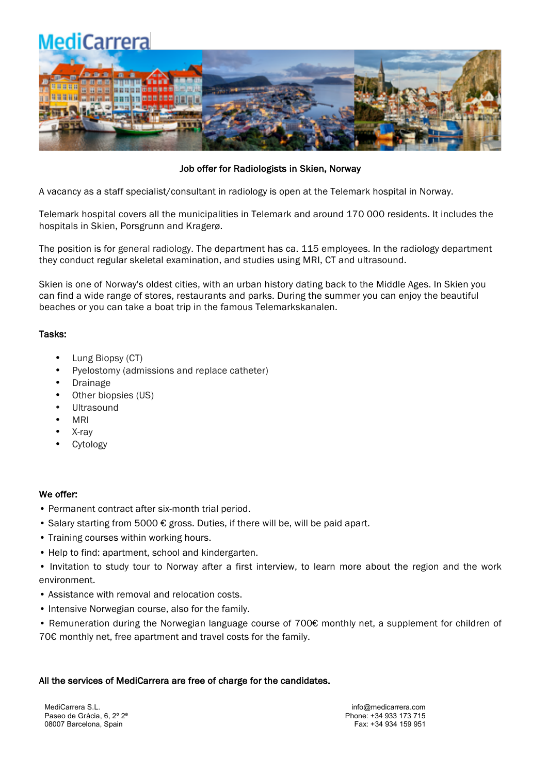**MediCarrera** 



Job offer for Radiologists in Skien, Norway

A vacancy as a staff specialist/consultant in radiology is open at the Telemark hospital in Norway.

Telemark hospital covers all the municipalities in Telemark and around 170 000 residents. It includes the hospitals in Skien, Porsgrunn and Kragerø.

The position is for general radiology. The department has ca. 115 employees. In the radiology department they conduct regular skeletal examination, and studies using MRI, CT and ultrasound.

Skien is one of Norway's oldest cities, with an urban history dating back to the Middle Ages. In Skien you can find a wide range of stores, restaurants and parks. During the summer you can enjoy the beautiful beaches or you can take a boat trip in the famous Telemarkskanalen.

## Tasks:

- Lung Biopsy (CT)
- Pyelostomy (admissions and replace catheter)
- **Drainage**
- Other biopsies (US)
- **Ultrasound**
- MRI
- X-ray
- **Cytology**

## We offer:

- Permanent contract after six-month trial period.
- Salary starting from 5000 € gross. Duties, if there will be, will be paid apart.
- Training courses within working hours.
- Help to find: apartment, school and kindergarten.
- Invitation to study tour to Norway after a first interview, to learn more about the region and the work environment.
- Assistance with removal and relocation costs.
- Intensive Norwegian course, also for the family.
- Remuneration during the Norwegian language course of 700€ monthly net, a supplement for children of 70€ monthly net, free apartment and travel costs for the family.

#### All the services of MediCarrera are free of charge for the candidates.